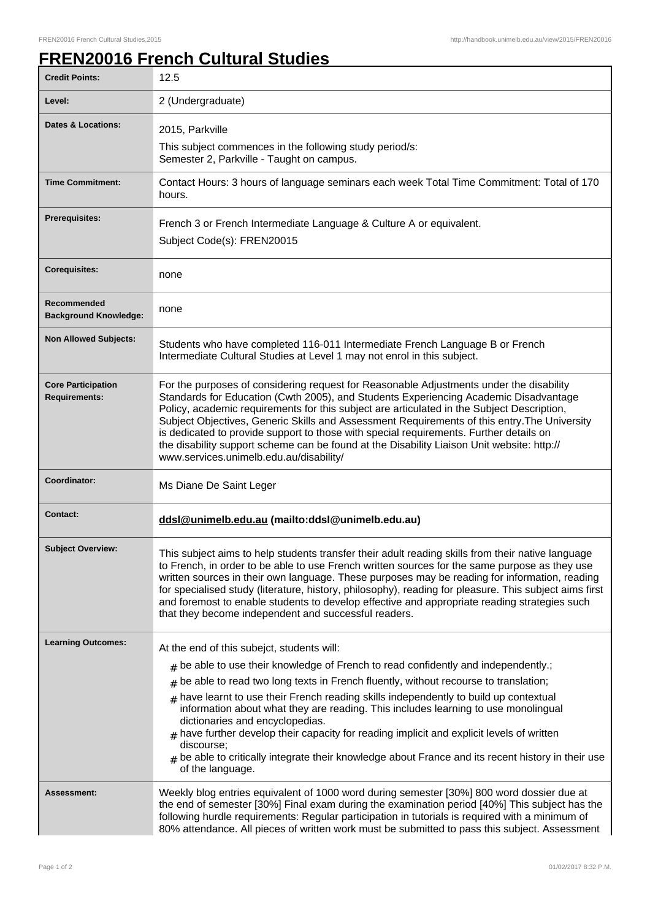## **FREN20016 French Cultural Studies**

| <b>Credit Points:</b>                             | 12.5                                                                                                                                                                                                                                                                                                                                                                                                                                                                                                                                                                                                             |
|---------------------------------------------------|------------------------------------------------------------------------------------------------------------------------------------------------------------------------------------------------------------------------------------------------------------------------------------------------------------------------------------------------------------------------------------------------------------------------------------------------------------------------------------------------------------------------------------------------------------------------------------------------------------------|
| Level:                                            | 2 (Undergraduate)                                                                                                                                                                                                                                                                                                                                                                                                                                                                                                                                                                                                |
| Dates & Locations:                                | 2015, Parkville                                                                                                                                                                                                                                                                                                                                                                                                                                                                                                                                                                                                  |
|                                                   | This subject commences in the following study period/s:<br>Semester 2, Parkville - Taught on campus.                                                                                                                                                                                                                                                                                                                                                                                                                                                                                                             |
| <b>Time Commitment:</b>                           | Contact Hours: 3 hours of language seminars each week Total Time Commitment: Total of 170<br>hours.                                                                                                                                                                                                                                                                                                                                                                                                                                                                                                              |
| <b>Prerequisites:</b>                             | French 3 or French Intermediate Language & Culture A or equivalent.<br>Subject Code(s): FREN20015                                                                                                                                                                                                                                                                                                                                                                                                                                                                                                                |
| <b>Corequisites:</b>                              | none                                                                                                                                                                                                                                                                                                                                                                                                                                                                                                                                                                                                             |
| Recommended<br><b>Background Knowledge:</b>       | none                                                                                                                                                                                                                                                                                                                                                                                                                                                                                                                                                                                                             |
| <b>Non Allowed Subjects:</b>                      | Students who have completed 116-011 Intermediate French Language B or French<br>Intermediate Cultural Studies at Level 1 may not enrol in this subject.                                                                                                                                                                                                                                                                                                                                                                                                                                                          |
| <b>Core Participation</b><br><b>Requirements:</b> | For the purposes of considering request for Reasonable Adjustments under the disability<br>Standards for Education (Cwth 2005), and Students Experiencing Academic Disadvantage<br>Policy, academic requirements for this subject are articulated in the Subject Description,<br>Subject Objectives, Generic Skills and Assessment Requirements of this entry. The University<br>is dedicated to provide support to those with special requirements. Further details on<br>the disability support scheme can be found at the Disability Liaison Unit website: http://<br>www.services.unimelb.edu.au/disability/ |
| Coordinator:                                      | Ms Diane De Saint Leger                                                                                                                                                                                                                                                                                                                                                                                                                                                                                                                                                                                          |
| <b>Contact:</b>                                   | ddsl@unimelb.edu.au (mailto:ddsl@unimelb.edu.au)                                                                                                                                                                                                                                                                                                                                                                                                                                                                                                                                                                 |
| <b>Subject Overview:</b>                          | This subject aims to help students transfer their adult reading skills from their native language<br>to French, in order to be able to use French written sources for the same purpose as they use<br>written sources in their own language. These purposes may be reading for information, reading<br>for specialised study (literature, history, philosophy), reading for pleasure. This subject aims first<br>and foremost to enable students to develop effective and appropriate reading strategies such<br>that they become independent and successful readers.                                            |
| <b>Learning Outcomes:</b>                         | At the end of this subejct, students will:                                                                                                                                                                                                                                                                                                                                                                                                                                                                                                                                                                       |
|                                                   | $*$ be able to use their knowledge of French to read confidently and independently.;                                                                                                                                                                                                                                                                                                                                                                                                                                                                                                                             |
|                                                   | be able to read two long texts in French fluently, without recourse to translation;<br>$\#$                                                                                                                                                                                                                                                                                                                                                                                                                                                                                                                      |
|                                                   | have learnt to use their French reading skills independently to build up contextual<br>$\#$<br>information about what they are reading. This includes learning to use monolingual<br>dictionaries and encyclopedias.<br>have further develop their capacity for reading implicit and explicit levels of written<br>#<br>discourse;<br>be able to critically integrate their knowledge about France and its recent history in their use<br>of the language.                                                                                                                                                       |
| Assessment:                                       | Weekly blog entries equivalent of 1000 word during semester [30%] 800 word dossier due at<br>the end of semester [30%] Final exam during the examination period [40%] This subject has the<br>following hurdle requirements: Regular participation in tutorials is required with a minimum of<br>80% attendance. All pieces of written work must be submitted to pass this subject. Assessment                                                                                                                                                                                                                   |